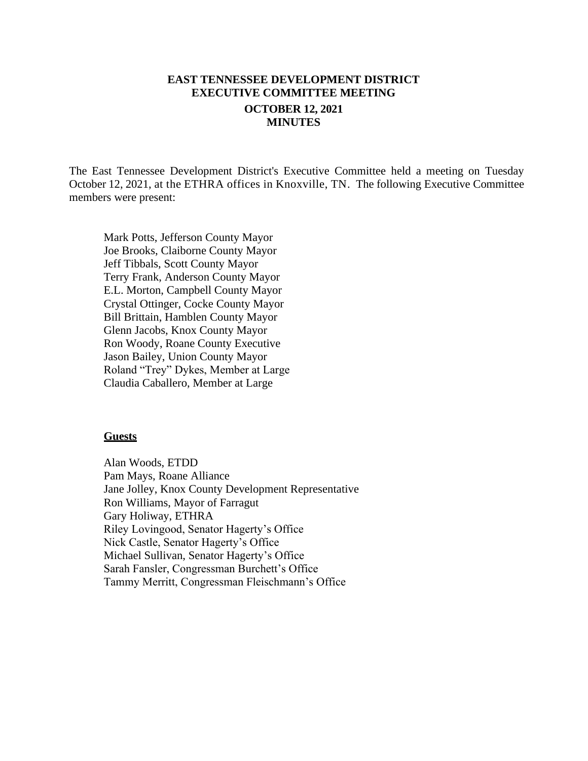# **EAST TENNESSEE DEVELOPMENT DISTRICT EXECUTIVE COMMITTEE MEETING OCTOBER 12, 2021 MINUTES**

The East Tennessee Development District's Executive Committee held a meeting on Tuesday October 12, 2021, at the ETHRA offices in Knoxville, TN. The following Executive Committee members were present:

Mark Potts, Jefferson County Mayor Joe Brooks, Claiborne County Mayor Jeff Tibbals, Scott County Mayor Terry Frank, Anderson County Mayor E.L. Morton, Campbell County Mayor Crystal Ottinger, Cocke County Mayor Bill Brittain, Hamblen County Mayor Glenn Jacobs, Knox County Mayor Ron Woody, Roane County Executive Jason Bailey, Union County Mayor Roland "Trey" Dykes, Member at Large Claudia Caballero, Member at Large

#### **Guests**

Alan Woods, ETDD Pam Mays, Roane Alliance Jane Jolley, Knox County Development Representative Ron Williams, Mayor of Farragut Gary Holiway, ETHRA Riley Lovingood, Senator Hagerty's Office Nick Castle, Senator Hagerty's Office Michael Sullivan, Senator Hagerty's Office Sarah Fansler, Congressman Burchett's Office Tammy Merritt, Congressman Fleischmann's Office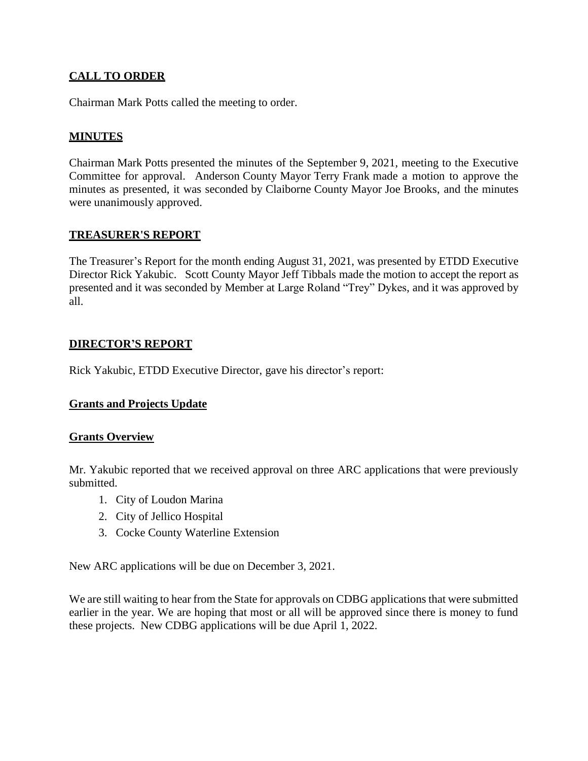## **CALL TO ORDER**

Chairman Mark Potts called the meeting to order.

## **MINUTES**

Chairman Mark Potts presented the minutes of the September 9, 2021, meeting to the Executive Committee for approval. Anderson County Mayor Terry Frank made a motion to approve the minutes as presented, it was seconded by Claiborne County Mayor Joe Brooks, and the minutes were unanimously approved.

### **TREASURER'S REPORT**

The Treasurer's Report for the month ending August 31, 2021, was presented by ETDD Executive Director Rick Yakubic. Scott County Mayor Jeff Tibbals made the motion to accept the report as presented and it was seconded by Member at Large Roland "Trey" Dykes, and it was approved by all.

## **DIRECTOR'S REPORT**

Rick Yakubic, ETDD Executive Director, gave his director's report:

## **Grants and Projects Update**

### **Grants Overview**

Mr. Yakubic reported that we received approval on three ARC applications that were previously submitted.

- 1. City of Loudon Marina
- 2. City of Jellico Hospital
- 3. Cocke County Waterline Extension

New ARC applications will be due on December 3, 2021.

We are still waiting to hear from the State for approvals on CDBG applications that were submitted earlier in the year. We are hoping that most or all will be approved since there is money to fund these projects. New CDBG applications will be due April 1, 2022.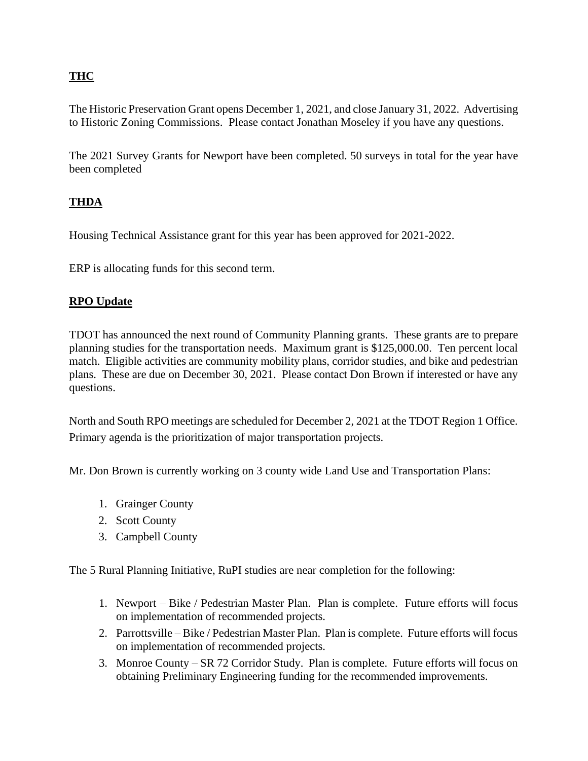# **THC**

The Historic Preservation Grant opens December 1, 2021, and close January 31, 2022. Advertising to Historic Zoning Commissions. Please contact Jonathan Moseley if you have any questions.

The 2021 Survey Grants for Newport have been completed. 50 surveys in total for the year have been completed

## **THDA**

Housing Technical Assistance grant for this year has been approved for 2021-2022.

ERP is allocating funds for this second term.

## **RPO Update**

TDOT has announced the next round of Community Planning grants. These grants are to prepare planning studies for the transportation needs. Maximum grant is \$125,000.00. Ten percent local match. Eligible activities are community mobility plans, corridor studies, and bike and pedestrian plans. These are due on December 30, 2021. Please contact Don Brown if interested or have any questions.

North and South RPO meetings are scheduled for December 2, 2021 at the TDOT Region 1 Office. Primary agenda is the prioritization of major transportation projects.

Mr. Don Brown is currently working on 3 county wide Land Use and Transportation Plans:

- 1. Grainger County
- 2. Scott County
- 3. Campbell County

The 5 Rural Planning Initiative, RuPI studies are near completion for the following:

- 1. Newport Bike / Pedestrian Master Plan. Plan is complete. Future efforts will focus on implementation of recommended projects.
- 2. Parrottsville Bike / Pedestrian Master Plan. Plan is complete. Future efforts will focus on implementation of recommended projects.
- 3. Monroe County SR 72 Corridor Study. Plan is complete. Future efforts will focus on obtaining Preliminary Engineering funding for the recommended improvements.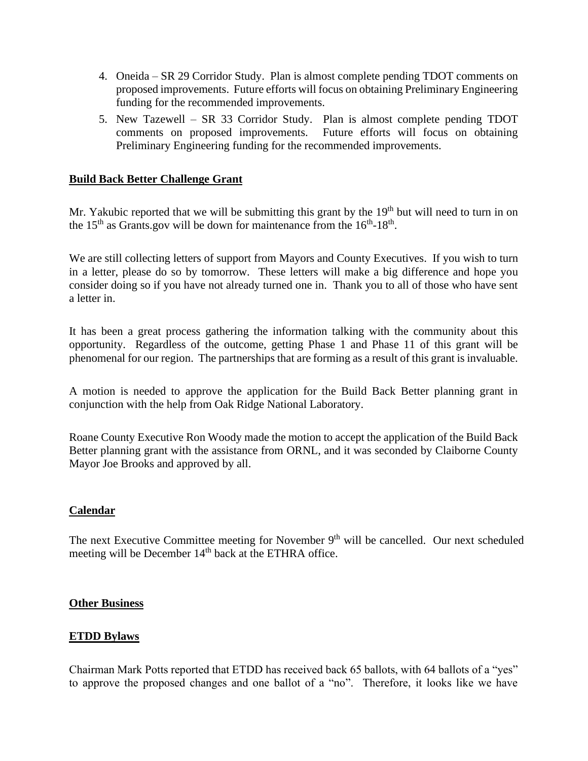- 4. Oneida SR 29 Corridor Study. Plan is almost complete pending TDOT comments on proposed improvements. Future efforts will focus on obtaining Preliminary Engineering funding for the recommended improvements.
- 5. New Tazewell SR 33 Corridor Study. Plan is almost complete pending TDOT comments on proposed improvements. Future efforts will focus on obtaining Preliminary Engineering funding for the recommended improvements.

### **Build Back Better Challenge Grant**

Mr. Yakubic reported that we will be submitting this grant by the 19<sup>th</sup> but will need to turn in on the  $15<sup>th</sup>$  as Grants.gov will be down for maintenance from the  $16<sup>th</sup>$ - $18<sup>th</sup>$ .

We are still collecting letters of support from Mayors and County Executives. If you wish to turn in a letter, please do so by tomorrow. These letters will make a big difference and hope you consider doing so if you have not already turned one in. Thank you to all of those who have sent a letter in.

It has been a great process gathering the information talking with the community about this opportunity. Regardless of the outcome, getting Phase 1 and Phase 11 of this grant will be phenomenal for our region. The partnerships that are forming as a result of this grant is invaluable.

A motion is needed to approve the application for the Build Back Better planning grant in conjunction with the help from Oak Ridge National Laboratory.

Roane County Executive Ron Woody made the motion to accept the application of the Build Back Better planning grant with the assistance from ORNL, and it was seconded by Claiborne County Mayor Joe Brooks and approved by all.

### **Calendar**

The next Executive Committee meeting for November  $9<sup>th</sup>$  will be cancelled. Our next scheduled meeting will be December 14<sup>th</sup> back at the ETHRA office.

#### **Other Business**

### **ETDD Bylaws**

Chairman Mark Potts reported that ETDD has received back 65 ballots, with 64 ballots of a "yes" to approve the proposed changes and one ballot of a "no". Therefore, it looks like we have